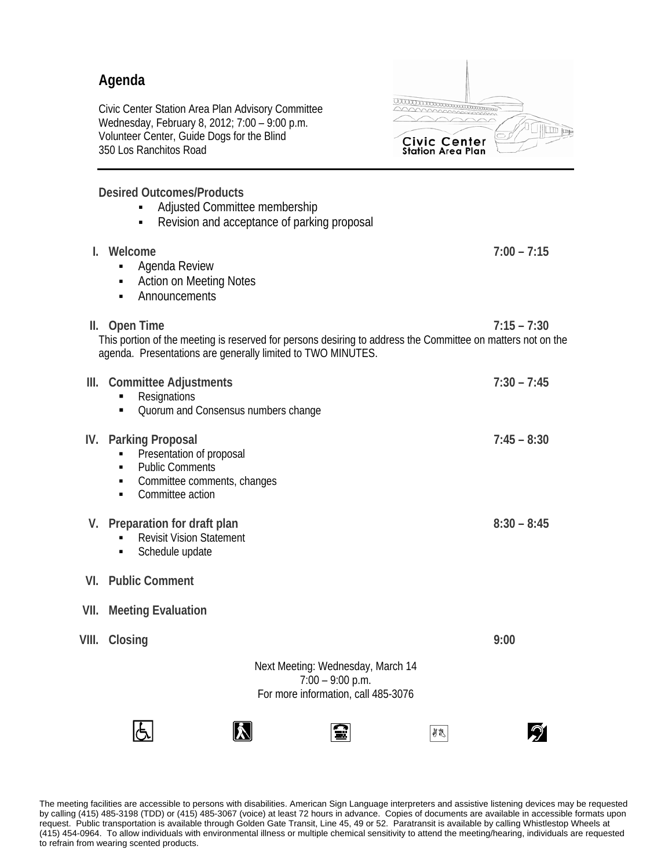## **Agenda**

Civic Center Station Area Plan Advisory Committee Wednesday, February 8, 2012; 7:00 – 9:00 p.m. Volunteer Center, Guide Dogs for the Blind 350 Los Ranchitos Road

aaa aan amaan ama **ILITI fundo** Civic Center<br>Station Area Plan

 $\mathcal{D}$ 

8g

**Desired Outcomes/Products** 

**Adjusted Committee membership** • Revision and acceptance of parking proposal **I. Welcome 7:00 – 7:15 -** Agenda Review Action on Meeting Notes **-** Announcements **II. Open Time 7:15 – 7:30**  This portion of the meeting is reserved for persons desiring to address the Committee on matters not on the agenda. Presentations are generally limited to TWO MINUTES. **III. Committee Adjustments 7:30 – 7:45 Resignations** • Quorum and Consensus numbers change **IV. Parking Proposal 7:45 – 8:30 Presentation of proposal -** Public Comments • Committee comments, changes • Committee action **V.** Preparation for draft plan 8:30 – 8:45 **Revisit Vision Statement Schedule update VI. Public Comment VII. Meeting Evaluation VIII. Closing 9:00**  Next Meeting: Wednesday, March 14 7:00 – 9:00 p.m. For more information, call 485-3076

The meeting facilities are accessible to persons with disabilities. American Sign Language interpreters and assistive listening devices may be requested by calling (415) 485-3198 (TDD) or (415) 485-3067 (voice) at least 72 hours in advance. Copies of documents are available in accessible formats upon request. Public transportation is available through Golden Gate Transit, Line 45, 49 or 52. Paratransit is available by calling Whistlestop Wheels at (415) 454-0964. To allow individuals with environmental illness or multiple chemical sensitivity to attend the meeting/hearing, individuals are requested to refrain from wearing scented products.

Ĩш

 $|\mathbf{X}|$ 

lÆ.